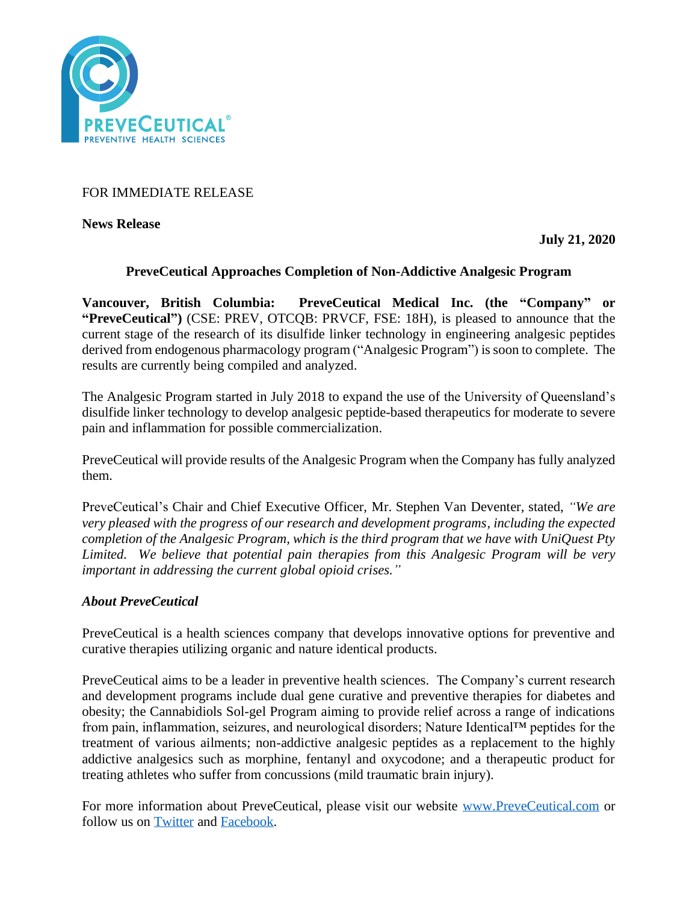

# FOR IMMEDIATE RELEASE

**News Release** 

**July 21, 2020**

## **PreveCeutical Approaches Completion of Non-Addictive Analgesic Program**

**Vancouver, British Columbia: PreveCeutical Medical Inc. (the "Company" or "PreveCeutical")** (CSE: PREV, OTCQB: PRVCF, FSE: 18H), is pleased to announce that the current stage of the research of its disulfide linker technology in engineering analgesic peptides derived from endogenous pharmacology program ("Analgesic Program") is soon to complete. The results are currently being compiled and analyzed.

The Analgesic Program started in July 2018 to expand the use of the University of Queensland's disulfide linker technology to develop analgesic peptide-based therapeutics for moderate to severe pain and inflammation for possible commercialization.

PreveCeutical will provide results of the Analgesic Program when the Company has fully analyzed them.

PreveCeutical's Chair and Chief Executive Officer, Mr. Stephen Van Deventer, stated, *"We are very pleased with the progress of our research and development programs, including the expected completion of the Analgesic Program, which is the third program that we have with UniQuest Pty Limited. We believe that potential pain therapies from this Analgesic Program will be very important in addressing the current global opioid crises."*

# *About PreveCeutical*

PreveCeutical is a health sciences company that develops innovative options for preventive and curative therapies utilizing organic and nature identical products.

PreveCeutical aims to be a leader in preventive health sciences. The Company's current research and development programs include dual gene curative and preventive therapies for diabetes and obesity; the Cannabidiols Sol-gel Program aiming to provide relief across a range of indications from pain, inflammation, seizures, and neurological disorders; Nature Identical™ peptides for the treatment of various ailments; non-addictive analgesic peptides as a replacement to the highly addictive analgesics such as morphine, fentanyl and oxycodone; and a therapeutic product for treating athletes who suffer from concussions (mild traumatic brain injury).

For more information about PreveCeutical, please visit our website [www.PreveCeutical.com](http://www.preveceutical.com/) or follow us on [Twitter](http://twitter.com/PreveCeuticals) and [Facebook.](http://www.facebook.com/PreveCeutical)